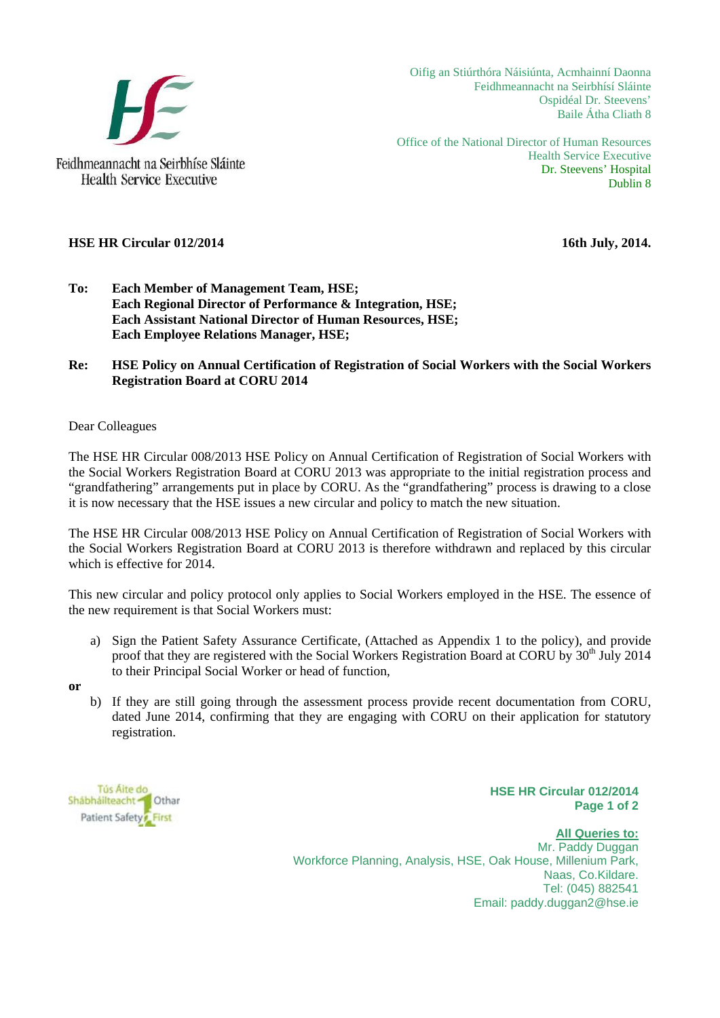

Oifig an Stiúrthóra Náisiúnta, Acmhainní Daonna Feidhmeannacht na Seirbhísí Sláinte Ospidéal Dr. Steevens' Baile Átha Cliath 8

Office of the National Director of Human Resources Health Service Executive Dr. Steevens' Hospital Dublin 8

## **HSE HR Circular 012/2014** 16th July, 2014.

- **To: Each Member of Management Team, HSE; Each Regional Director of Performance & Integration, HSE; Each Assistant National Director of Human Resources, HSE; Each Employee Relations Manager, HSE;**
- **Re: HSE Policy on Annual Certification of Registration of Social Workers with the Social Workers Registration Board at CORU 2014**

## Dear Colleagues

The HSE HR Circular 008/2013 HSE Policy on Annual Certification of Registration of Social Workers with the Social Workers Registration Board at CORU 2013 was appropriate to the initial registration process and "grandfathering" arrangements put in place by CORU. As the "grandfathering" process is drawing to a close it is now necessary that the HSE issues a new circular and policy to match the new situation.

The HSE HR Circular 008/2013 HSE Policy on Annual Certification of Registration of Social Workers with the Social Workers Registration Board at CORU 2013 is therefore withdrawn and replaced by this circular which is effective for 2014.

This new circular and policy protocol only applies to Social Workers employed in the HSE. The essence of the new requirement is that Social Workers must:

a) Sign the Patient Safety Assurance Certificate, (Attached as Appendix 1 to the policy), and provide proof that they are registered with the Social Workers Registration Board at CORU by  $30<sup>th</sup>$  July 2014 to their Principal Social Worker or head of function,

**or** 

b) If they are still going through the assessment process provide recent documentation from CORU, dated June 2014, confirming that they are engaging with CORU on their application for statutory registration.

Tús Aite do Shábháilteacht **T**othar Patient Safety First

**HSE HR Circular 012/2014 Page 1 of 2**

**All Queries to:** Mr. Paddy Duggan Workforce Planning, Analysis, HSE, Oak House, Millenium Park, Naas, Co.Kildare. Tel: (045) 882541 Email: paddy.duggan2@hse.ie